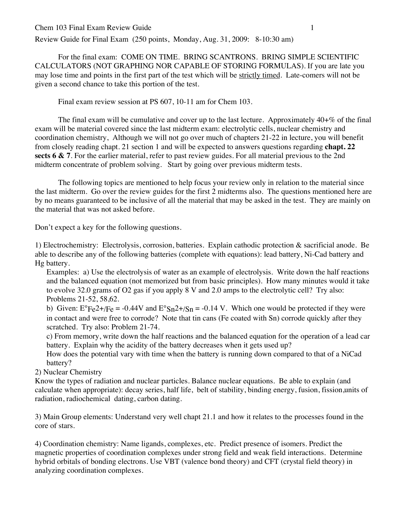## Chem 103 Final Exam Review Guide 1

Review Guide for Final Exam (250 points, Monday, Aug. 31, 2009: 8-10:30 am)

For the final exam: COME ON TIME. BRING SCANTRONS. BRING SIMPLE SCIENTIFIC CALCULATORS (NOT GRAPHING NOR CAPABLE OF STORING FORMULAS). If you are late you may lose time and points in the first part of the test which will be strictly timed. Late-comers will not be given a second chance to take this portion of the test.

Final exam review session at PS 607, 10-11 am for Chem 103.

The final exam will be cumulative and cover up to the last lecture. Approximately 40+% of the final exam will be material covered since the last midterm exam: electrolytic cells, nuclear chemistry and coordination chemistry, Although we will not go over much of chapters 21-22 in lecture, you will benefit from closely reading chapt. 21 section 1 and will be expected to answers questions regarding **chapt. 22 sects 6 & 7**. For the earlier material, refer to past review guides. For all material previous to the 2nd midterm concentrate of problem solving. Start by going over previous midterm tests.

The following topics are mentioned to help focus your review only in relation to the material since the last midterm. Go over the review guides for the first 2 midterms also. The questions mentioned here are by no means guaranteed to be inclusive of all the material that may be asked in the test. They are mainly on the material that was not asked before.

Don't expect a key for the following questions.

1) Electrochemistry: Electrolysis, corrosion, batteries. Explain cathodic protection & sacrificial anode. Be able to describe any of the following batteries (complete with equations): lead battery, Ni-Cad battery and Hg battery.

Examples: a) Use the electrolysis of water as an example of electrolysis. Write down the half reactions and the balanced equation (not memorized but from basic principles). How many minutes would it take to evolve 32.0 grams of O2 gas if you apply 8 V and 2.0 amps to the electrolytic cell? Try also: Problems 21-52, 58,62.

b) Given:  $E^{\circ}Fe2+/Fe = -0.44V$  and  $E^{\circ}Sn2+/Sn = -0.14 V$ . Which one would be protected if they were in contact and were free to corrode? Note that tin cans (Fe coated with Sn) corrode quickly after they scratched. Try also: Problem 21-74.

c) From memory, write down the half reactions and the balanced equation for the operation of a lead car battery. Explain why the acidity of the battery decreases when it gets used up?

How does the potential vary with time when the battery is running down compared to that of a NiCad battery?

2) Nuclear Chemistry

Know the types of radiation and nuclear particles. Balance nuclear equations. Be able to explain (and calculate when appropriate): decay series, half life, belt of stability, binding energy, fusion, fission,units of radiation, radiochemical dating, carbon dating.

3) Main Group elements: Understand very well chapt 21.1 and how it relates to the processes found in the core of stars.

4) Coordination chemistry: Name ligands, complexes, etc. Predict presence of isomers. Predict the magnetic properties of coordination complexes under strong field and weak field interactions. Determine hybrid orbitals of bonding electrons. Use VBT (valence bond theory) and CFT (crystal field theory) in analyzing coordination complexes.